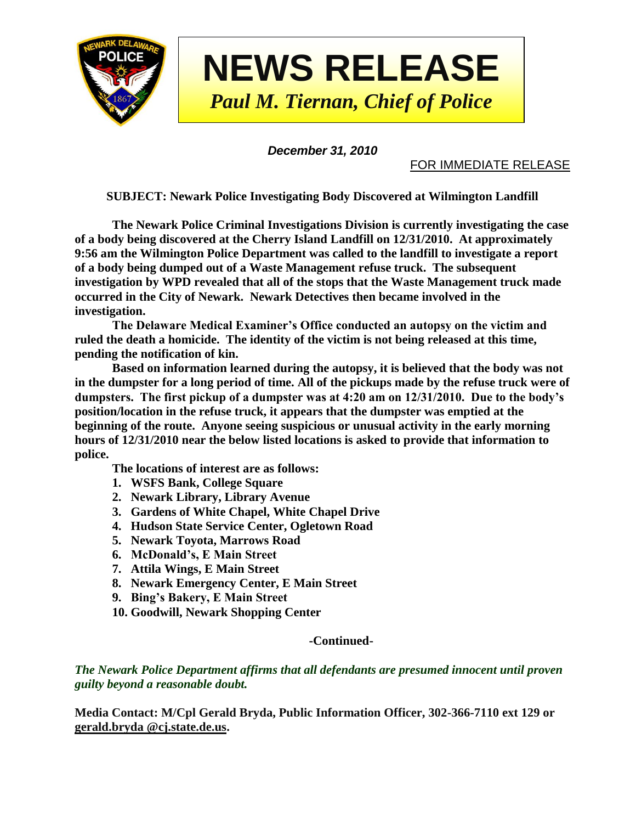

*December 31, 2010*

FOR IMMEDIATE RELEASE

**SUBJECT: Newark Police Investigating Body Discovered at Wilmington Landfill**

**The Newark Police Criminal Investigations Division is currently investigating the case of a body being discovered at the Cherry Island Landfill on 12/31/2010. At approximately 9:56 am the Wilmington Police Department was called to the landfill to investigate a report of a body being dumped out of a Waste Management refuse truck. The subsequent investigation by WPD revealed that all of the stops that the Waste Management truck made occurred in the City of Newark. Newark Detectives then became involved in the investigation.**

**The Delaware Medical Examiner's Office conducted an autopsy on the victim and ruled the death a homicide. The identity of the victim is not being released at this time, pending the notification of kin.** 

**Based on information learned during the autopsy, it is believed that the body was not in the dumpster for a long period of time. All of the pickups made by the refuse truck were of dumpsters. The first pickup of a dumpster was at 4:20 am on 12/31/2010. Due to the body's position/location in the refuse truck, it appears that the dumpster was emptied at the beginning of the route. Anyone seeing suspicious or unusual activity in the early morning hours of 12/31/2010 near the below listed locations is asked to provide that information to police.**

**The locations of interest are as follows:**

- **1. WSFS Bank, College Square**
- **2. Newark Library, Library Avenue**
- **3. Gardens of White Chapel, White Chapel Drive**
- **4. Hudson State Service Center, Ogletown Road**
- **5. Newark Toyota, Marrows Road**
- **6. McDonald's, E Main Street**
- **7. Attila Wings, E Main Street**
- **8. Newark Emergency Center, E Main Street**
- **9. Bing's Bakery, E Main Street**
- **10. Goodwill, Newark Shopping Center**

## **-Continued-**

*The Newark Police Department affirms that all defendants are presumed innocent until proven guilty beyond a reasonable doubt.*

**Media Contact: M/Cpl Gerald Bryda, Public Information Officer, 302-366-7110 ext 129 or gerald.bryda @cj.state.de.us.**